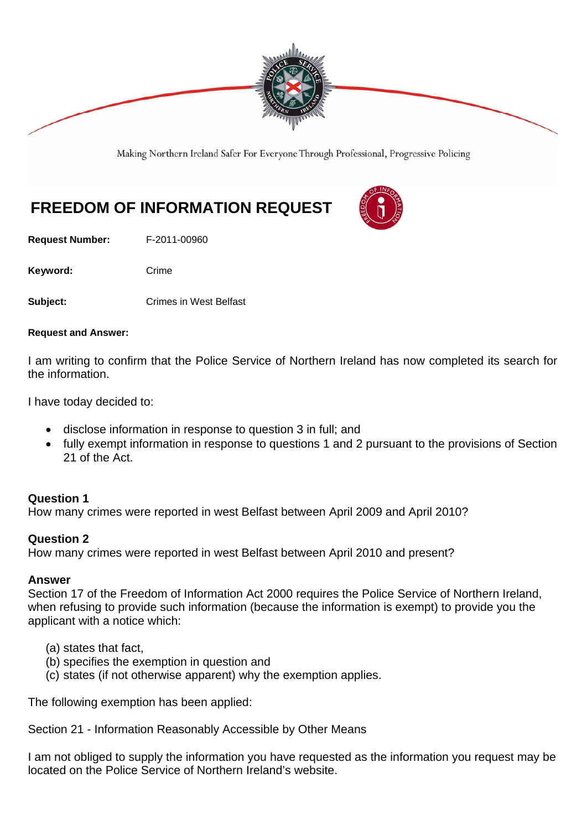

Making Northern Ireland Safer For Everyone Through Professional, Progressive Policing

# **FREEDOM OF INFORMATION REQUEST**

**Request Number:** F-2011-00960

Keyword: Crime

**Subject: Crimes in West Belfast** 

#### **Request and Answer:**

I am writing to confirm that the Police Service of Northern Ireland has now completed its search for the information.

I have today decided to:

- disclose information in response to question 3 in full; and
- fully exempt information in response to questions 1 and 2 pursuant to the provisions of Section 21 of the Act.

#### **Question 1**

How many crimes were reported in west Belfast between April 2009 and April 2010?

#### **Question 2**

How many crimes were reported in west Belfast between April 2010 and present?

#### **Answer**

Section 17 of the Freedom of Information Act 2000 requires the Police Service of Northern Ireland, when refusing to provide such information (because the information is exempt) to provide you the applicant with a notice which:

- (a) states that fact,
- (b) specifies the exemption in question and
- (c) states (if not otherwise apparent) why the exemption applies.

The following exemption has been applied:

Section 21 - Information Reasonably Accessible by Other Means

I am not obliged to supply the information you have requested as the information you request may be located on the Police Service of Northern Ireland's website.

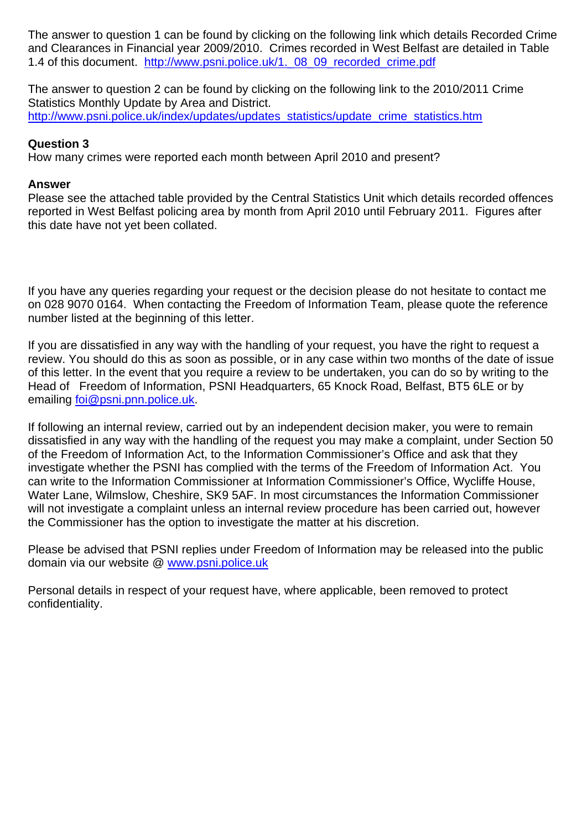The answer to question 1 can be found by clicking on the following link which details Recorded Crime and Clearances in Financial year 2009/2010. Crimes recorded in West Belfast are detailed in Table 1.4 of this document. http://www.psni.police.uk/1, 08 09 recorded crime.pdf

The answer to question 2 can be found by clicking on the following link to the 2010/2011 Crime Statistics Monthly Update by Area and District. http://www.psni.police.uk/index/updates/updates\_statistics/update\_crime\_statistics.htm

### **Question 3**

How many crimes were reported each month between April 2010 and present?

## **Answer**

Please see the attached table provided by the Central Statistics Unit which details recorded offences reported in West Belfast policing area by month from April 2010 until February 2011. Figures after this date have not yet been collated.

If you have any queries regarding your request or the decision please do not hesitate to contact me on 028 9070 0164. When contacting the Freedom of Information Team, please quote the reference number listed at the beginning of this letter.

If you are dissatisfied in any way with the handling of your request, you have the right to request a review. You should do this as soon as possible, or in any case within two months of the date of issue of this letter. In the event that you require a review to be undertaken, you can do so by writing to the Head of Freedom of Information, PSNI Headquarters, 65 Knock Road, Belfast, BT5 6LE or by emailing foi@psni.pnn.police.uk.

If following an internal review, carried out by an independent decision maker, you were to remain dissatisfied in any way with the handling of the request you may make a complaint, under Section 50 of the Freedom of Information Act, to the Information Commissioner's Office and ask that they investigate whether the PSNI has complied with the terms of the Freedom of Information Act. You can write to the Information Commissioner at Information Commissioner's Office, Wycliffe House, Water Lane, Wilmslow, Cheshire, SK9 5AF. In most circumstances the Information Commissioner will not investigate a complaint unless an internal review procedure has been carried out, however the Commissioner has the option to investigate the matter at his discretion.

Please be advised that PSNI replies under Freedom of Information may be released into the public domain via our website @ www.psni.police.uk

Personal details in respect of your request have, where applicable, been removed to protect confidentiality.